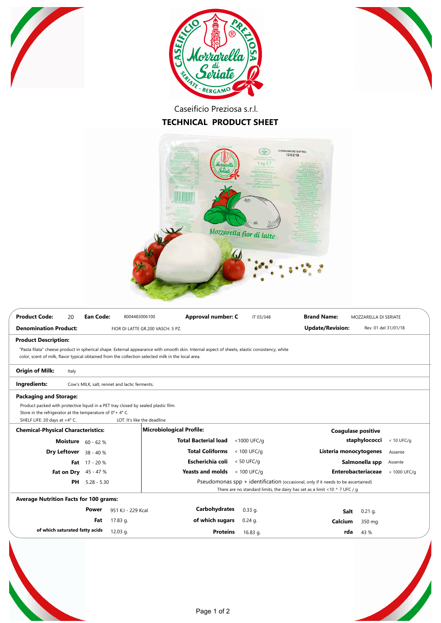





Caseificio Preziosa s.r.l.

## **TECHNICAL PRODUCT SHEET**



| <b>Product Code:</b><br>20                                                                                                                                                                                                                          | <b>Ean Code:</b>                              | 8004483006100                     | Approval number: C          | IT 03/348     | <b>Brand Name:</b>        | MOZZARELLA DI SERIATE     |              |
|-----------------------------------------------------------------------------------------------------------------------------------------------------------------------------------------------------------------------------------------------------|-----------------------------------------------|-----------------------------------|-----------------------------|---------------|---------------------------|---------------------------|--------------|
| <b>Denomination Product:</b>                                                                                                                                                                                                                        |                                               | FIOR DI LATTE GR.200 VASCH. 5 PZ. |                             |               | <b>Update/Revision:</b>   | Rev. 01 del 31/01/18      |              |
| <b>Product Description:</b>                                                                                                                                                                                                                         |                                               |                                   |                             |               |                           |                           |              |
| "Pasta filata" cheese product in spherical shape. External appearance with smooth skin. Internal aspect of sheets, elastic consistency, white<br>color, scent of milk, flavor typical obtained from the collection selected milk in the local area. |                                               |                                   |                             |               |                           |                           |              |
| <b>Origin of Milk:</b><br>Italy                                                                                                                                                                                                                     |                                               |                                   |                             |               |                           |                           |              |
| Ingredients:                                                                                                                                                                                                                                        | Cow's MILK, salt, rennet and lactic ferments. |                                   |                             |               |                           |                           |              |
| <b>Packaging and Storage:</b><br>Product packed with protective liquid in a PET tray closed by sealed plastic film.<br>Store in the refrigerator at the temperature of $0^{\circ}$ + 4° C.<br>SHELF LIFE: 20 days at +4° C.                         |                                               | LOT: It's like the deadline       |                             |               |                           |                           |              |
| <b>Chemical-Physical Characteristics:</b>                                                                                                                                                                                                           |                                               | Microbiological Profile:          |                             |               | <b>Coagulase positive</b> |                           |              |
| <b>Moisture</b> $60 - 62$ %                                                                                                                                                                                                                         |                                               |                                   | <b>Total Bacterial load</b> | <1000 UFC/g   |                           | staphylococci             | $< 10$ UFC/g |
| Dry Leftover 38 - 40 %                                                                                                                                                                                                                              |                                               |                                   | <b>Total Coliforms</b>      | $< 100$ UFC/g | Listeria monocytogenes    |                           | Assente      |
|                                                                                                                                                                                                                                                     | Fat $17 - 20%$                                |                                   | Escherichia coli            | $< 50$ UFC/g  |                           | Salmonella spp            | Assente      |
| Fat on Dry                                                                                                                                                                                                                                          | 45 - 47 %                                     |                                   | <b>Yeasts and molds</b>     | $< 100$ UFC/g |                           | <b>Enterobacteriaceae</b> | < 1000 UFC/g |
| Pseudomonas $spp + identification$ (occasional, only if it needs to be ascertained)<br>PH<br>$5.28 - 5.30$<br>There are no standard limits, the dairy has set as a limit <10 $\land$ 7 UFC / g                                                      |                                               |                                   |                             |               |                           |                           |              |
| <b>Average Nutrition Facts for 100 grams:</b>                                                                                                                                                                                                       |                                               |                                   |                             |               |                           |                           |              |
|                                                                                                                                                                                                                                                     | Power                                         | 951 KJ - 229 Kcal                 | Carbohydrates               | $0.33$ q.     | <b>Salt</b>               | $0.21$ q.                 |              |
|                                                                                                                                                                                                                                                     | Fat<br>17.83 g.                               |                                   | of which sugars             | $0.24$ g.     | Calcium                   | 350 mg.                   |              |
| of which saturated fatty acids                                                                                                                                                                                                                      | 12.03 g.                                      |                                   | <b>Proteins</b>             | 16.83 g.      | rda                       | 43 %                      |              |
|                                                                                                                                                                                                                                                     |                                               |                                   |                             |               |                           |                           |              |
|                                                                                                                                                                                                                                                     |                                               |                                   |                             |               |                           |                           |              |